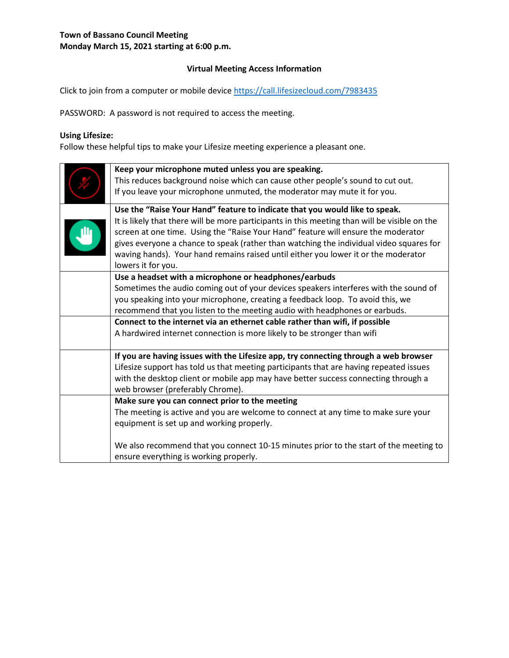### **Virtual Meeting Access Information**

Click to join from a computer or mobile device<https://call.lifesizecloud.com/7983435>

PASSWORD: A password is not required to access the meeting.

# **Using Lifesize:**

Follow these helpful tips to make your Lifesize meeting experience a pleasant one.

| Keep your microphone muted unless you are speaking.<br>This reduces background noise which can cause other people's sound to cut out.<br>If you leave your microphone unmuted, the moderator may mute it for you.                                                                                                                                                                                                                                                        |
|--------------------------------------------------------------------------------------------------------------------------------------------------------------------------------------------------------------------------------------------------------------------------------------------------------------------------------------------------------------------------------------------------------------------------------------------------------------------------|
| Use the "Raise Your Hand" feature to indicate that you would like to speak.<br>It is likely that there will be more participants in this meeting than will be visible on the<br>screen at one time. Using the "Raise Your Hand" feature will ensure the moderator<br>gives everyone a chance to speak (rather than watching the individual video squares for<br>waving hands). Your hand remains raised until either you lower it or the moderator<br>lowers it for you. |
| Use a headset with a microphone or headphones/earbuds<br>Sometimes the audio coming out of your devices speakers interferes with the sound of<br>you speaking into your microphone, creating a feedback loop. To avoid this, we<br>recommend that you listen to the meeting audio with headphones or earbuds.<br>Connect to the internet via an ethernet cable rather than wifi, if possible<br>A hardwired internet connection is more likely to be stronger than wifi  |
| If you are having issues with the Lifesize app, try connecting through a web browser<br>Lifesize support has told us that meeting participants that are having repeated issues<br>with the desktop client or mobile app may have better success connecting through a<br>web browser (preferably Chrome).                                                                                                                                                                 |
| Make sure you can connect prior to the meeting<br>The meeting is active and you are welcome to connect at any time to make sure your<br>equipment is set up and working properly.<br>We also recommend that you connect 10-15 minutes prior to the start of the meeting to                                                                                                                                                                                               |
| ensure everything is working properly.                                                                                                                                                                                                                                                                                                                                                                                                                                   |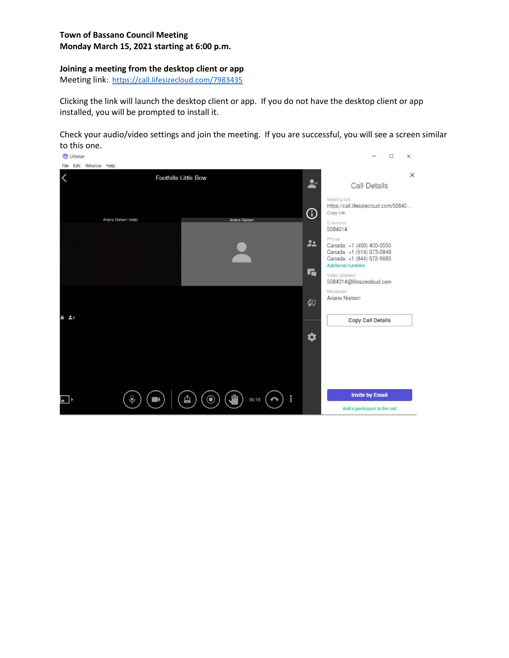### **Joining a meeting from the desktop client or app**

Meeting link: <https://call.lifesizecloud.com/7983435>

Clicking the link will launch the desktop client or app. If you do not have the desktop client or app installed, you will be prompted to install it.

Check your audio/video settings and join the meeting. If you are successful, you will see a screen similar to this one.

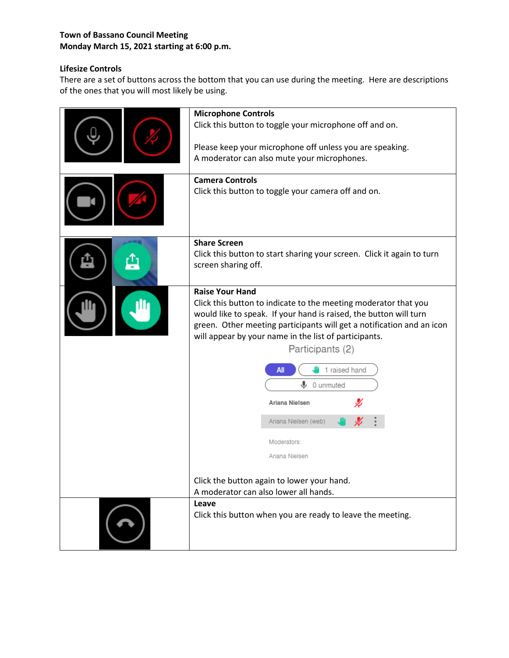# **Lifesize Controls**

There are a set of buttons across the bottom that you can use during the meeting. Here are descriptions of the ones that you will most likely be using.

| <b>Microphone Controls</b><br>Click this button to toggle your microphone off and on.<br>Please keep your microphone off unless you are speaking.<br>A moderator can also mute your microphones.<br><b>Camera Controls</b><br>Click this button to toggle your camera off and on.                                                                                                                                                                                                                                                |  |  |
|----------------------------------------------------------------------------------------------------------------------------------------------------------------------------------------------------------------------------------------------------------------------------------------------------------------------------------------------------------------------------------------------------------------------------------------------------------------------------------------------------------------------------------|--|--|
| <b>Share Screen</b><br>Click this button to start sharing your screen. Click it again to turn<br>screen sharing off.                                                                                                                                                                                                                                                                                                                                                                                                             |  |  |
| <b>Raise Your Hand</b><br>Click this button to indicate to the meeting moderator that you<br>would like to speak. If your hand is raised, the button will turn<br>green. Other meeting participants will get a notification and an icon<br>will appear by your name in the list of participants.<br>Participants (2)<br>1 raised hand<br>All<br>⋓<br>0 unmuted<br>Ariana Nielsen<br>Ariana Nielsen (web)<br>Moderators:<br>Ariana Nielsen<br>Click the button again to lower your hand.<br>A moderator can also lower all hands. |  |  |
| Leave<br>Click this button when you are ready to leave the meeting.                                                                                                                                                                                                                                                                                                                                                                                                                                                              |  |  |